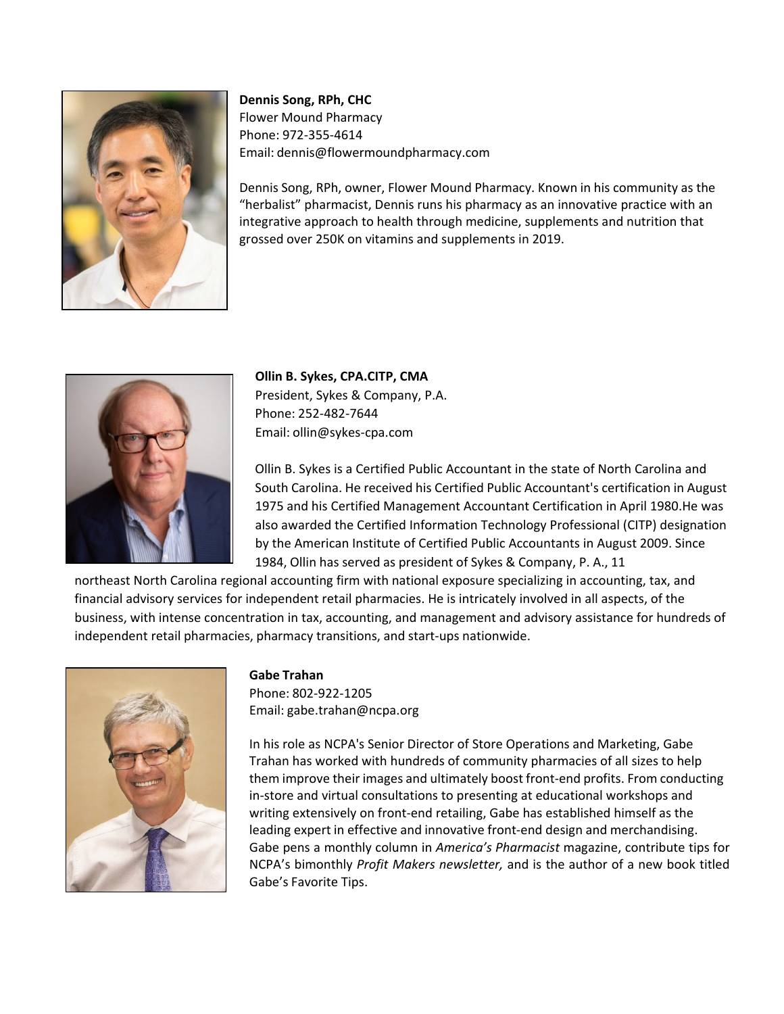FlowerMoundPharmacy Phone: Email:

CJP



**Dennis Song, RPh, CHC** Flower Mound Pharmacy Phone: 972r355r4614 Email: dennis@flowermoundpharmacy.com

Dennis Song, RPh, owner, Flower Mound Pharmacy. Known in his community as the "herbalist" pharmacist, Dennis runs his pharmacy as an innovative practice with an integrative approach to health through medicine, supplements and nutrition that grossed over 250K on vitamins and supplements in 2019.



## **Gabe Trahan**

Phone: 802r922r1205 Email: gabe.trahan@ncpa.org

In his role as NCPA's Senior Director of Store Operations and Marketing, Gabe Trahan has worked with hundreds of community pharmacies of all sizes to help them improve their images and ultimately boost frontrend profits. From conducting inrstore and virtual consultations to presenting at educational workshops and writing extensively on frontrend retailing, Gabe has established himself as the leading expert in effective and innovative frontrend design and merchandising. Gabe pens a monthly column in *America's Pharmacist* magazine, contribute tips for NCPA's bimonthly Profit Makers newsletter, and is the author of a new book titled Gabe's Favorite Tips.